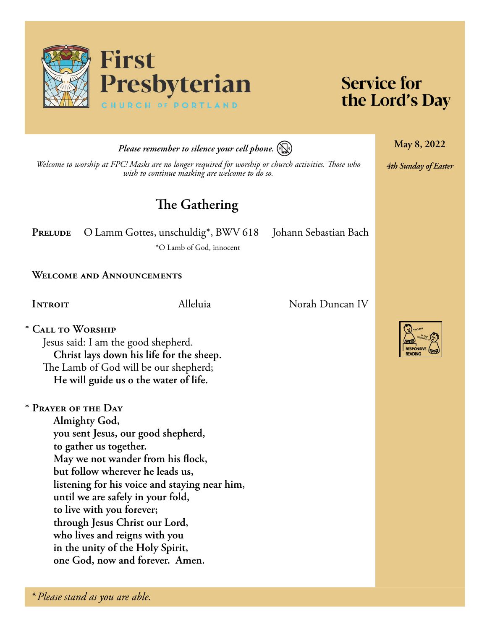

# **Service for** the Lord's Day

**May 8, 2022**

*4th Sunday of Easter*

*Please remember to silence your cell phone.*

*Welcome to worship at FPC! Masks are no longer required for worship or church activities. Those who wish to continue masking are welcome to do so.*

# **The Gathering**

PRELUDE O Lamm Gottes, unschuldig<sup>\*</sup>, BWV 618 Johann Sebastian Bach

\*O Lamb of God, innocent

**Welcome and Announcements**

**\* Call to Worship** Jesus said: I am the good shepherd. **Christ lays down his life for the sheep.** The Lamb of God will be our shepherd; **He will guide us o the water of life.**

**\* Prayer of the Day Almighty God, you sent Jesus, our good shepherd, to gather us together. May we not wander from his flock, but follow wherever he leads us, listening for his voice and staying near him, until we are safely in your fold, to live with you forever; through Jesus Christ our Lord, who lives and reigns with you in the unity of the Holy Spirit, one God, now and forever. Amen.**

**Introit** Alleluia Norah Duncan IV

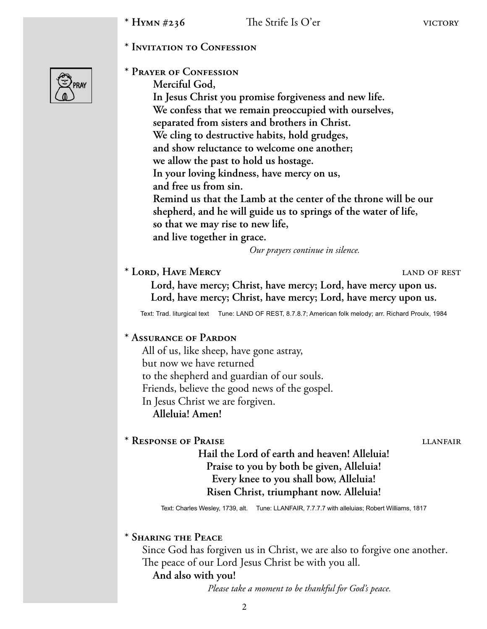**\* Invitation to Confession** 



**\* Prayer of Confession** 

**Merciful God, In Jesus Christ you promise forgiveness and new life. We confess that we remain preoccupied with ourselves, separated from sisters and brothers in Christ. We cling to destructive habits, hold grudges, and show reluctance to welcome one another; we allow the past to hold us hostage. In your loving kindness, have mercy on us, and free us from sin. Remind us that the Lamb at the center of the throne will be our shepherd, and he will guide us to springs of the water of life, so that we may rise to new life, and live together in grace.**

*Our prayers continue in silence.*

## **\* Lord, Have Mercy** land of rest

**Lord, have mercy; Christ, have mercy; Lord, have mercy upon us. Lord, have mercy; Christ, have mercy; Lord, have mercy upon us.**

Text: Trad. liturgical text Tune: LAND OF REST, 8.7.8.7; American folk melody; arr. Richard Proulx, 1984

## **\* Assurance of Pardon**

All of us, like sheep, have gone astray, but now we have returned to the shepherd and guardian of our souls. Friends, believe the good news of the gospel. In Jesus Christ we are forgiven. **Alleluia! Amen!**

## \* Response of Praise **little and the Calculation** lian extending the lian extending the lian extending the lian extending the lian extending the lian extending the lian extending the lian extending to  $\sim$

**Hail the Lord of earth and heaven! Alleluia! Praise to you by both be given, Alleluia! Every knee to you shall bow, Alleluia! Risen Christ, triumphant now. Alleluia!**

Text: Charles Wesley, 1739, alt. Tune: LLANFAIR, 7.7.7.7 with alleluias; Robert Williams, 1817

### **\* Sharing the Peace**

Since God has forgiven us in Christ, we are also to forgive one another. The peace of our Lord Jesus Christ be with you all.

### **And also with you!**

*Please take a moment to be thankful for God's peace.*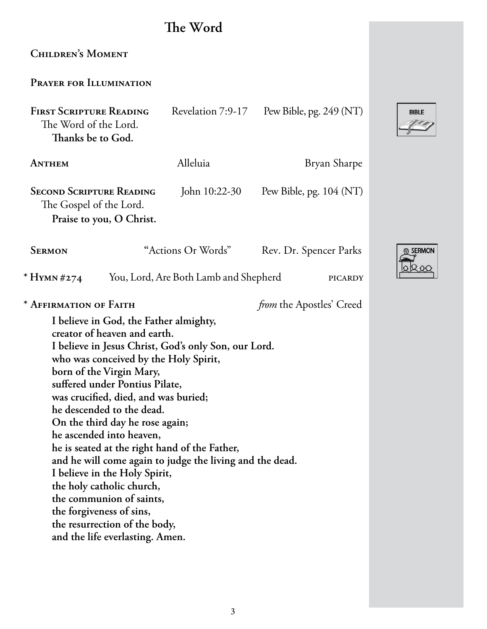# **The Word**

FIRST SCRIPTURE READING Revelation 7:9-17 Pew Bible, pg. 249 (NT)

**ANTHEM** Alleluia Bryan Sharpe **SECOND SCRIPTURE READING** John 10:22-30 Pew Bible, pg. 104 (NT) The Gospel of the Lord. **Praise to you, O Christ. SERMON** "Actions Or Words" Rev. Dr. Spencer Parks

\* **Hymn** #274 You, Lord, Are Both Lamb and Shepherd picardy

**Children's Moment** 

**Prayer for Illumination**

The Word of the Lord. **Thanks be to God.**

**\* Affirmation of Faith** *from* the Apostles' Creed

**I believe in God, the Father almighty, creator of heaven and earth. I believe in Jesus Christ, God's only Son, our Lord. who was conceived by the Holy Spirit, born of the Virgin Mary, suffered under Pontius Pilate, was crucified, died, and was buried; he descended to the dead. On the third day he rose again; he ascended into heaven, he is seated at the right hand of the Father, and he will come again to judge the living and the dead. I believe in the Holy Spirit, the holy catholic church, the communion of saints, the forgiveness of sins, the resurrection of the body, and the life everlasting. Amen.**

3



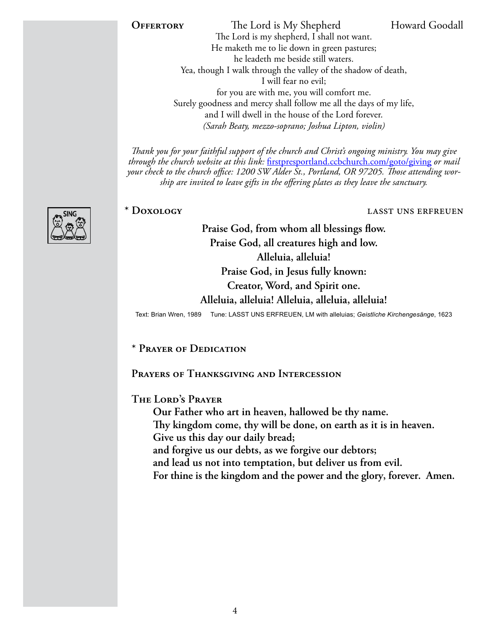**OFFERTORY** The Lord is My Shepherd Howard Goodall The Lord is my shepherd, I shall not want. He maketh me to lie down in green pastures; he leadeth me beside still waters. Yea, though I walk through the valley of the shadow of death, I will fear no evil; for you are with me, you will comfort me. Surely goodness and mercy shall follow me all the days of my life, and I will dwell in the house of the Lord forever. *(Sarah Beaty, mezzo-soprano; Joshua Lipton, violin)*

*Thank you for your faithful support of the church and Christ's ongoing ministry. You may give through the church website at this link:* [firstpresportland.ccbchurch.com/goto/giving](http://firstpresportland.ccbchurch.com/goto/giving) *or mail your check to the church office: 1200 SW Alder St., Portland, OR 97205. Those attending worship are invited to leave gifts in the offering plates as they leave the sanctuary.*

#### **\* Doxology** lasst uns erfreuen

**Praise God, from whom all blessings flow. Praise God, all creatures high and low. Alleluia, alleluia! Praise God, in Jesus fully known: Creator, Word, and Spirit one.**

**Alleluia, alleluia! Alleluia, alleluia, alleluia!**

Text: Brian Wren, 1989 Tune: LASST UNS ERFREUEN, LM with alleluias; *Geistliche Kirchengesänge*, 1623

**\* Prayer of Dedication**

**Prayers of Thanksgiving and Intercession**

**The Lord's Prayer**

**Our Father who art in heaven, hallowed be thy name. Thy kingdom come, thy will be done, on earth as it is in heaven. Give us this day our daily bread; and forgive us our debts, as we forgive our debtors; and lead us not into temptation, but deliver us from evil.** 

**For thine is the kingdom and the power and the glory, forever. Amen.**

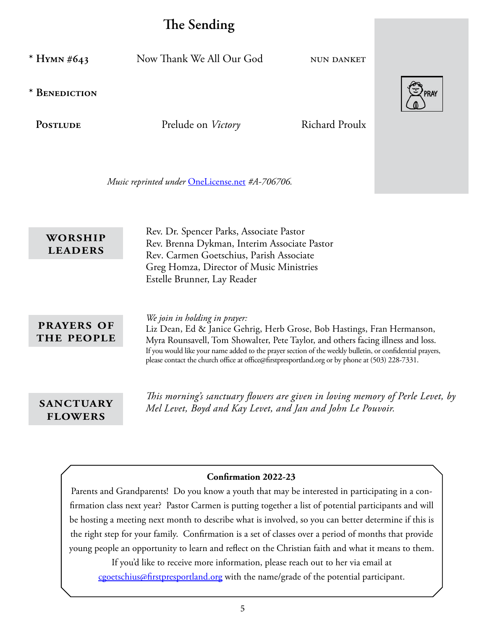# **The Sending**

**\* Hymn #643** Now Thank We All Our God nun danket

**\* Benediction** 

PostLUDE Prelude on *Victory* Richard Proulx

*Music reprinted under* [OneLicense.net](http://OneLicense.net) *#A-706706.*

Rev. Dr. Spencer Parks, Associate Pastor Rev. Brenna Dykman, Interim Associate Pastor Rev. Carmen Goetschius, Parish Associate Greg Homza, Director of Music Ministries Estelle Brunner, Lay Reader **worship leaders**

## **prayers of the people**

*We join in holding in prayer:*  Liz Dean, Ed & Janice Gehrig, Herb Grose, Bob Hastings, Fran Hermanson, Myra Rounsavell, Tom Showalter, Pete Taylor, and others facing illness and loss. If you would like your name added to the prayer section of the weekly bulletin, or confidential prayers, please contact the church office at office@firstpresportland.org or by phone at (503) 228-7331.

**flowers**

*This morning's sanctuary flowers are given in loving memory of Perle Levet, by*  **SANCTUARY** *Mel Levet, Boyd and Kay Levet, and Jan and John Le Pouvoir.* 

#### **Confirmation 2022-23**

Parents and Grandparents! Do you know a youth that may be interested in participating in a confirmation class next year? Pastor Carmen is putting together a list of potential participants and will be hosting a meeting next month to describe what is involved, so you can better determine if this is the right step for your family. Confirmation is a set of classes over a period of months that provide young people an opportunity to learn and reflect on the Christian faith and what it means to them.

If you'd like to receive more information, please reach out to her via email at [cgoetschius@firstpresportland.org](mailto:cgoetschius@firstpresportland.org) with the name/grade of the potential participant.

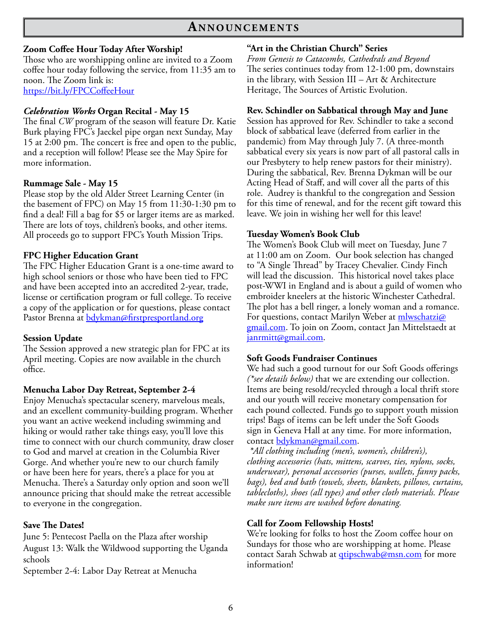## **An n o u n c e m e n t s**

#### **Zoom Coffee Hour Today After Worship!**

Those who are worshipping online are invited to a Zoom coffee hour today following the service, from 11:35 am to noon. The Zoom link is: <https://bit.ly/FPCCoffeeHour>

#### *Celebration Works* **Organ Recital - May 15**

The final *CW* program of the season will feature Dr. Katie Burk playing FPC's Jaeckel pipe organ next Sunday, May 15 at 2:00 pm. The concert is free and open to the public, and a reception will follow! Please see the May Spire for more information.

#### **Rummage Sale - May 15**

Please stop by the old Alder Street Learning Center (in the basement of FPC) on May 15 from 11:30-1:30 pm to find a deal! Fill a bag for \$5 or larger items are as marked. There are lots of toys, children's books, and other items. All proceeds go to support FPC's Youth Mission Trips.

#### **FPC Higher Education Grant**

The FPC Higher Education Grant is a one-time award to high school seniors or those who have been tied to FPC and have been accepted into an accredited 2-year, trade, license or certification program or full college. To receive a copy of the application or for questions, please contact Pastor Brenna at [bdykman@firstpresportland.org](mailto:bdykman@firstpresportland.org)

### **Session Update**

The Session approved a new strategic plan for FPC at its April meeting. Copies are now available in the church office.

#### **Menucha Labor Day Retreat, September 2-4**

Enjoy Menucha's spectacular scenery, marvelous meals, and an excellent community-building program. Whether you want an active weekend including swimming and hiking or would rather take things easy, you'll love this time to connect with our church community, draw closer to God and marvel at creation in the Columbia River Gorge. And whether you're new to our church family or have been here for years, there's a place for you at Menucha. There's a Saturday only option and soon we'll announce pricing that should make the retreat accessible to everyone in the congregation.

#### **Save The Dates!**

June 5: Pentecost Paella on the Plaza after worship August 13: Walk the Wildwood supporting the Uganda schools

September 2-4: Labor Day Retreat at Menucha

#### **"Art in the Christian Church" Series**

*From Genesis to Catacombs, Cathedrals and Beyond* The series continues today from 12-1:00 pm, downstairs in the library, with Session III – Art & Architecture Heritage, The Sources of Artistic Evolution.

#### **Rev. Schindler on Sabbatical through May and June**

Session has approved for Rev. Schindler to take a second block of sabbatical leave (deferred from earlier in the pandemic) from May through July 7. (A three-month sabbatical every six years is now part of all pastoral calls in our Presbytery to help renew pastors for their ministry). During the sabbatical, Rev. Brenna Dykman will be our Acting Head of Staff, and will cover all the parts of this role. Audrey is thankful to the congregation and Session for this time of renewal, and for the recent gift toward this leave. We join in wishing her well for this leave!

#### **Tuesday Women's Book Club**

The Women's Book Club will meet on Tuesday, June 7 at 11:00 am on Zoom. Our book selection has changed to "A Single Thread" by Tracey Chevalier. Cindy Finch will lead the discussion. This historical novel takes place post-WWI in England and is about a guild of women who embroider kneelers at the historic Winchester Cathedral. The plot has a bell ringer, a lonely woman and a romance. For questions, contact Marilyn Weber at *mlwschatzi@* [gmail.com](mailto:mlwschatzi@gmail.com). To join on Zoom, contact Jan Mittelstaedt at [janrmitt@gmail.com](mailto:janrmitt@gmail.com).

#### **Soft Goods Fundraiser Continues**

We had such a good turnout for our Soft Goods offerings *(\*see details below)* that we are extending our collection. Items are being resold/recycled through a local thrift store and our youth will receive monetary compensation for each pound collected. Funds go to support youth mission trips! Bags of items can be left under the Soft Goods sign in Geneva Hall at any time. For more information, contact [bdykman@gmail.com](mailto:bdykman@gmail.com).

*\*All clothing including (men's, women's, children's), clothing accessories (hats, mittens, scarves, ties, nylons, socks, underwear), personal accessories (purses, wallets, fanny packs, bags), bed and bath (towels, sheets, blankets, pillows, curtains, tablecloths), shoes (all types) and other cloth materials. Please make sure items are washed before donating.*

#### **Call for Zoom Fellowship Hosts!**

We're looking for folks to host the Zoom coffee hour on Sundays for those who are worshipping at home. Please contact Sarah Schwab at *qtipschwab@msn.com* for more information!